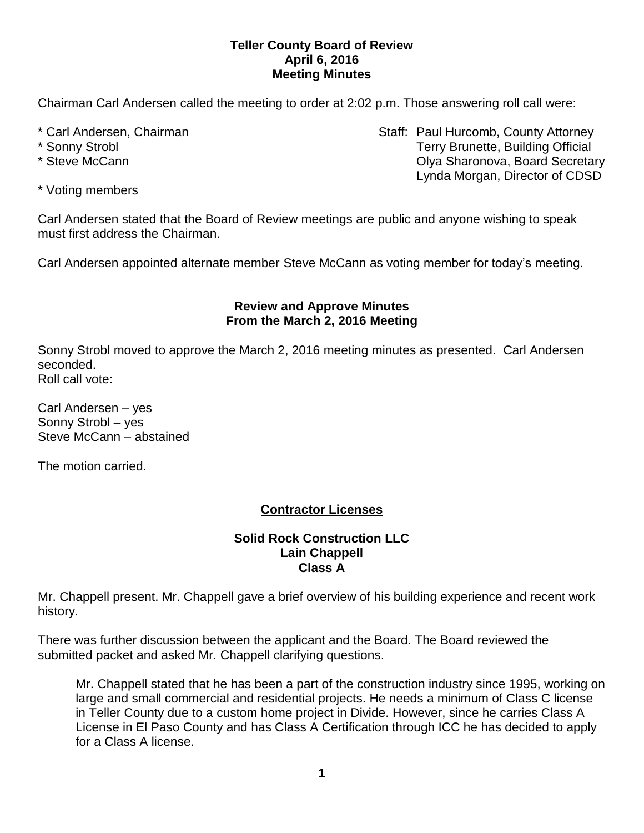### **Teller County Board of Review April 6, 2016 Meeting Minutes**

Chairman Carl Andersen called the meeting to order at 2:02 p.m. Those answering roll call were:

- 
- 
- 

\* Carl Andersen, Chairman Staff: Paul Hurcomb, County Attorney \* Sonny Strobl **Terry Brunette, Building Official** \* Steve McCann **Cann** Cannova, Board Secretary **Cannova**, Board Secretary Lynda Morgan, Director of CDSD

\* Voting members

Carl Andersen stated that the Board of Review meetings are public and anyone wishing to speak must first address the Chairman.

Carl Andersen appointed alternate member Steve McCann as voting member for today's meeting.

### **Review and Approve Minutes From the March 2, 2016 Meeting**

Sonny Strobl moved to approve the March 2, 2016 meeting minutes as presented. Carl Andersen seconded. Roll call vote:

Carl Andersen – yes Sonny Strobl – yes Steve McCann – abstained

The motion carried.

# **Contractor Licenses**

### **Solid Rock Construction LLC Lain Chappell Class A**

Mr. Chappell present. Mr. Chappell gave a brief overview of his building experience and recent work history.

There was further discussion between the applicant and the Board. The Board reviewed the submitted packet and asked Mr. Chappell clarifying questions.

Mr. Chappell stated that he has been a part of the construction industry since 1995, working on large and small commercial and residential projects. He needs a minimum of Class C license in Teller County due to a custom home project in Divide. However, since he carries Class A License in El Paso County and has Class A Certification through ICC he has decided to apply for a Class A license.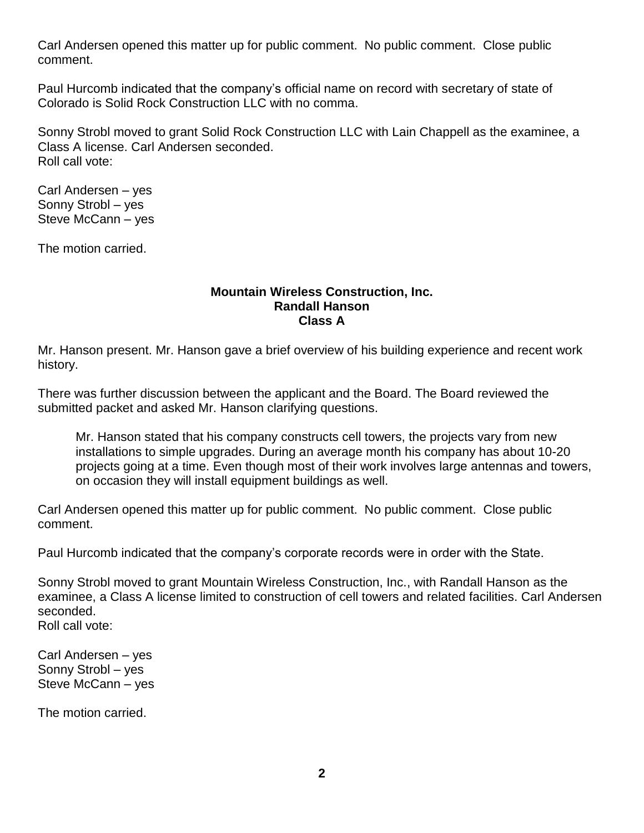Carl Andersen opened this matter up for public comment. No public comment. Close public comment.

Paul Hurcomb indicated that the company's official name on record with secretary of state of Colorado is Solid Rock Construction LLC with no comma.

Sonny Strobl moved to grant Solid Rock Construction LLC with Lain Chappell as the examinee, a Class A license. Carl Andersen seconded. Roll call vote:

Carl Andersen – yes Sonny Strobl – yes Steve McCann – yes

The motion carried.

#### **Mountain Wireless Construction, Inc. Randall Hanson Class A**

Mr. Hanson present. Mr. Hanson gave a brief overview of his building experience and recent work history.

There was further discussion between the applicant and the Board. The Board reviewed the submitted packet and asked Mr. Hanson clarifying questions.

Mr. Hanson stated that his company constructs cell towers, the projects vary from new installations to simple upgrades. During an average month his company has about 10-20 projects going at a time. Even though most of their work involves large antennas and towers, on occasion they will install equipment buildings as well.

Carl Andersen opened this matter up for public comment. No public comment. Close public comment.

Paul Hurcomb indicated that the company's corporate records were in order with the State.

Sonny Strobl moved to grant Mountain Wireless Construction, Inc., with Randall Hanson as the examinee, a Class A license limited to construction of cell towers and related facilities. Carl Andersen seconded.

Roll call vote:

Carl Andersen – yes Sonny Strobl – yes Steve McCann – yes

The motion carried.